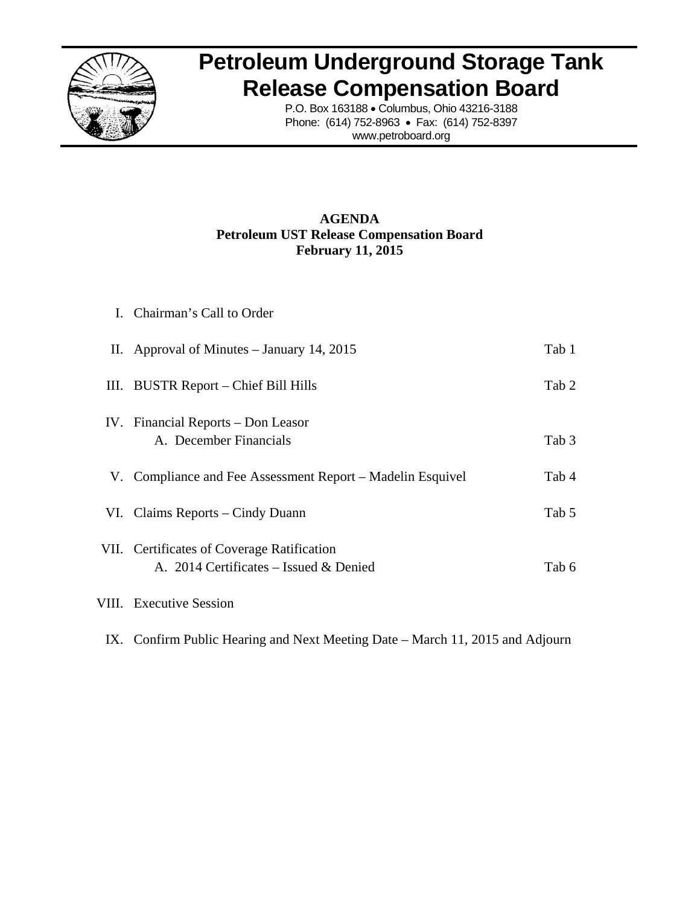

## **Petroleum Underground Storage Tank Release Compensation Board**

P.O. Box 163188 • Columbus, Ohio 43216-3188 Phone: (614) 752-8963 • Fax: (614) 752-8397 www.petroboard.org

## **AGENDA Petroleum UST Release Compensation Board February 11, 2015**

| I. Chairman's Call to Order                                                          |       |
|--------------------------------------------------------------------------------------|-------|
| II. Approval of Minutes $-$ January 14, 2015                                         | Tab 1 |
| III. BUSTR Report – Chief Bill Hills                                                 | Tab 2 |
| IV. Financial Reports – Don Leasor<br>A. December Financials                         | Tab 3 |
| V. Compliance and Fee Assessment Report – Madelin Esquivel                           | Tab 4 |
| VI. Claims Reports – Cindy Duann                                                     | Tab 5 |
| VII. Certificates of Coverage Ratification<br>A. 2014 Certificates – Issued & Denied | Tab 6 |
| VIII. Executive Session                                                              |       |

IX. Confirm Public Hearing and Next Meeting Date – March 11, 2015 and Adjourn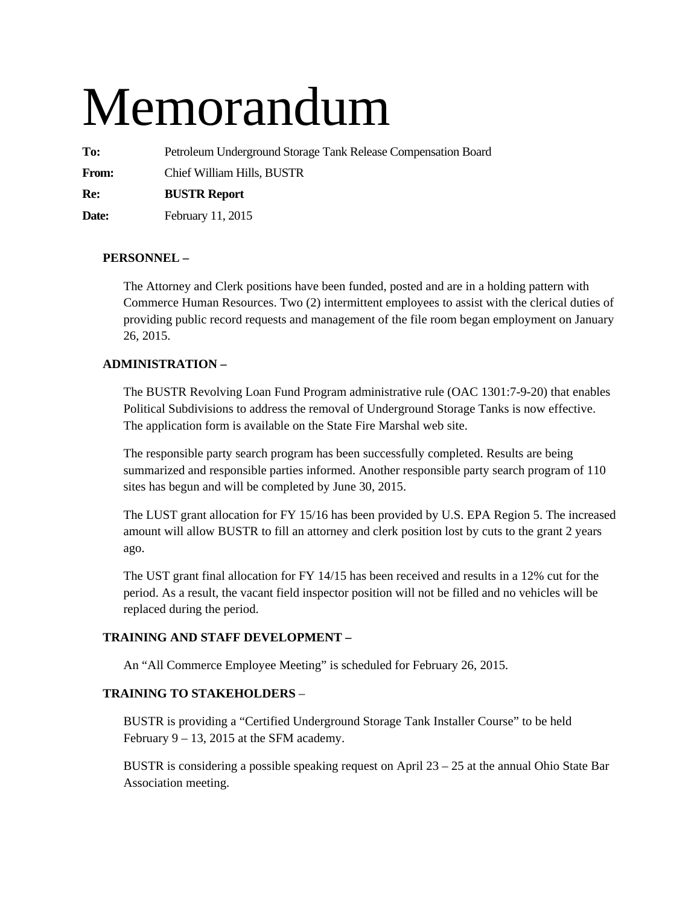# Memorandum

**To:** Petroleum Underground Storage Tank Release Compensation Board

**From:** Chief William Hills, BUSTR

**Re: BUSTR Report** 

**Date:** February 11, 2015

## **PERSONNEL –**

The Attorney and Clerk positions have been funded, posted and are in a holding pattern with Commerce Human Resources. Two (2) intermittent employees to assist with the clerical duties of providing public record requests and management of the file room began employment on January 26, 2015.

## **ADMINISTRATION –**

The BUSTR Revolving Loan Fund Program administrative rule (OAC 1301:7-9-20) that enables Political Subdivisions to address the removal of Underground Storage Tanks is now effective. The application form is available on the State Fire Marshal web site.

The responsible party search program has been successfully completed. Results are being summarized and responsible parties informed. Another responsible party search program of 110 sites has begun and will be completed by June 30, 2015.

The LUST grant allocation for FY 15/16 has been provided by U.S. EPA Region 5. The increased amount will allow BUSTR to fill an attorney and clerk position lost by cuts to the grant 2 years ago.

The UST grant final allocation for FY 14/15 has been received and results in a 12% cut for the period. As a result, the vacant field inspector position will not be filled and no vehicles will be replaced during the period.

## **TRAINING AND STAFF DEVELOPMENT –**

An "All Commerce Employee Meeting" is scheduled for February 26, 2015.

## **TRAINING TO STAKEHOLDERS** –

BUSTR is providing a "Certified Underground Storage Tank Installer Course" to be held February  $9 - 13$ , 2015 at the SFM academy.

BUSTR is considering a possible speaking request on April 23 – 25 at the annual Ohio State Bar Association meeting.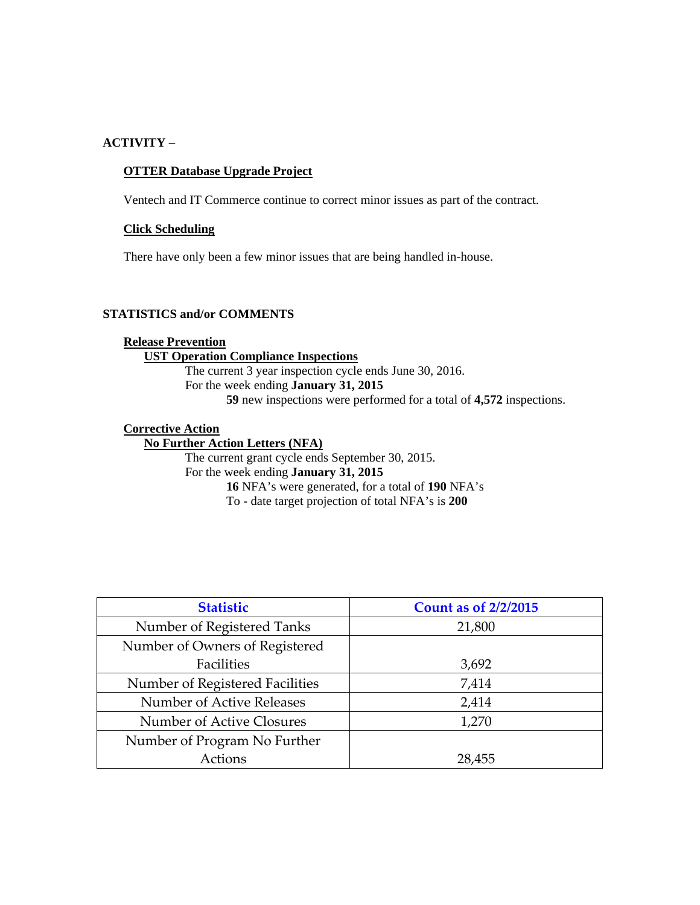#### **ACTIVITY –**

#### **OTTER Database Upgrade Project**

Ventech and IT Commerce continue to correct minor issues as part of the contract.

#### **Click Scheduling**

There have only been a few minor issues that are being handled in-house.

## **STATISTICS and/or COMMENTS**

## **Release Prevention UST Operation Compliance Inspections**  The current 3 year inspection cycle ends June 30, 2016. For the week ending **January 31, 2015 59** new inspections were performed for a total of **4,572** inspections.

## **Corrective Action**

**No Further Action Letters (NFA)**  The current grant cycle ends September 30, 2015. For the week ending **January 31, 2015 16** NFA's were generated, for a total of **190** NFA's To - date target projection of total NFA's is **200** 

| <b>Statistic</b>                | <b>Count as of 2/2/2015</b> |
|---------------------------------|-----------------------------|
| Number of Registered Tanks      | 21,800                      |
| Number of Owners of Registered  |                             |
| Facilities                      | 3,692                       |
| Number of Registered Facilities | 7,414                       |
| Number of Active Releases       | 2,414                       |
| Number of Active Closures       | 1,270                       |
| Number of Program No Further    |                             |
| Actions                         | 28,455                      |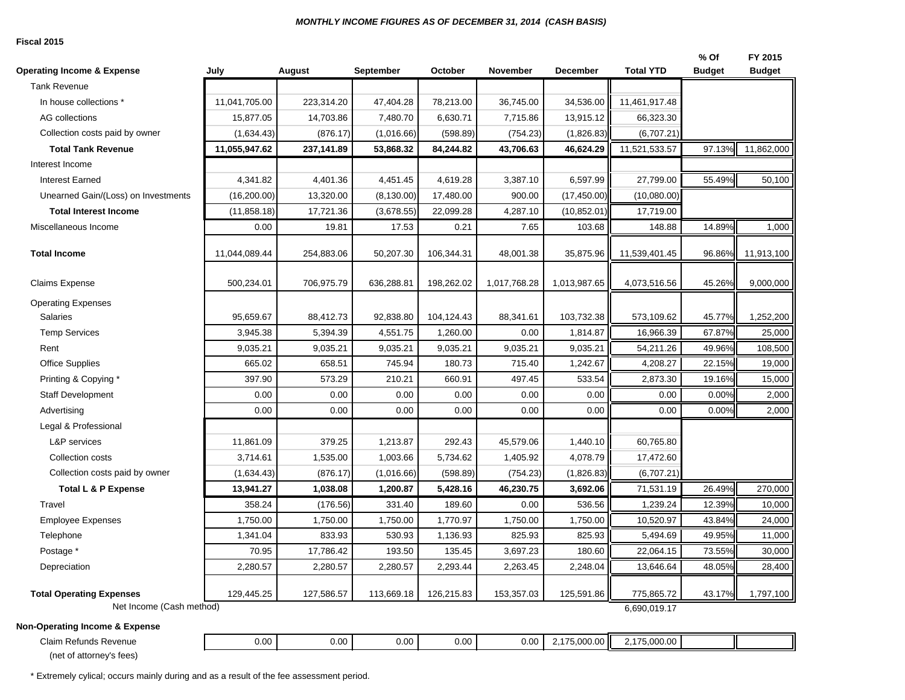#### *MONTHLY INCOME FIGURES AS OF DECEMBER 31, 2014 (CASH BASIS)*

#### **Fiscal 2015**

| <b>Operating Income &amp; Expense</b>             | July          | August     | <b>September</b> | October    | November     | <b>December</b> | <b>Total YTD</b> | % Of<br><b>Budget</b> | FY 2015<br><b>Budget</b> |
|---------------------------------------------------|---------------|------------|------------------|------------|--------------|-----------------|------------------|-----------------------|--------------------------|
| <b>Tank Revenue</b>                               |               |            |                  |            |              |                 |                  |                       |                          |
| In house collections *                            | 11,041,705.00 | 223,314.20 | 47,404.28        | 78,213.00  | 36,745.00    | 34,536.00       | 11,461,917.48    |                       |                          |
| AG collections                                    | 15,877.05     | 14,703.86  | 7,480.70         | 6.630.71   | 7,715.86     | 13,915.12       | 66,323.30        |                       |                          |
| Collection costs paid by owner                    | (1,634.43)    | (876.17)   | (1,016.66)       | (598.89)   | (754.23)     | (1,826.83)      | (6,707.21)       |                       |                          |
| <b>Total Tank Revenue</b>                         | 11,055,947.62 | 237,141.89 | 53,868.32        | 84,244.82  | 43,706.63    | 46,624.29       | 11,521,533.57    | 97.13%                | 11,862,000               |
| Interest Income                                   |               |            |                  |            |              |                 |                  |                       |                          |
| <b>Interest Earned</b>                            | 4,341.82      | 4,401.36   | 4,451.45         | 4,619.28   | 3,387.10     | 6,597.99        | 27,799.00        | 55.49%                | 50,100                   |
| Unearned Gain/(Loss) on Investments               | (16, 200.00)  | 13,320.00  | (8, 130.00)      | 17,480.00  | 900.00       | (17, 450.00)    | (10,080.00)      |                       |                          |
| <b>Total Interest Income</b>                      | (11, 858.18)  | 17,721.36  | (3,678.55)       | 22,099.28  | 4,287.10     | (10, 852.01)    | 17,719.00        |                       |                          |
| Miscellaneous Income                              | 0.00          | 19.81      | 17.53            | 0.21       | 7.65         | 103.68          | 148.88           | 14.89%                | 1,000                    |
| <b>Total Income</b>                               | 11,044,089.44 | 254,883.06 | 50,207.30        | 106,344.31 | 48,001.38    | 35,875.96       | 11,539,401.45    | 96.86%                | 11,913,100               |
| <b>Claims Expense</b>                             | 500,234.01    | 706,975.79 | 636,288.81       | 198,262.02 | 1,017,768.28 | 1,013,987.65    | 4,073,516.56     | 45.26%                | 9,000,000                |
| <b>Operating Expenses</b>                         |               |            |                  |            |              |                 |                  |                       |                          |
| <b>Salaries</b>                                   | 95,659.67     | 88,412.73  | 92,838.80        | 104,124.43 | 88,341.61    | 103,732.38      | 573,109.62       | 45.77%                | 1,252,200                |
| <b>Temp Services</b>                              | 3,945.38      | 5,394.39   | 4,551.75         | 1,260.00   | 0.00         | 1,814.87        | 16,966.39        | 67.87%                | 25,000                   |
| Rent                                              | 9,035.21      | 9,035.21   | 9,035.21         | 9,035.21   | 9,035.21     | 9,035.21        | 54,211.26        | 49.96%                | 108,500                  |
| <b>Office Supplies</b>                            | 665.02        | 658.51     | 745.94           | 180.73     | 715.40       | 1,242.67        | 4,208.27         | 22.15%                | 19,000                   |
| Printing & Copying *                              | 397.90        | 573.29     | 210.21           | 660.91     | 497.45       | 533.54          | 2,873.30         | 19.16%                | 15,000                   |
| Staff Development                                 | 0.00          | 0.00       | 0.00             | 0.00       | 0.00         | 0.00            | 0.00             | 0.00%                 | 2,000                    |
| Advertising                                       | 0.00          | 0.00       | 0.00             | 0.00       | 0.00         | 0.00            | 0.00             | 0.00%                 | 2,000                    |
| Legal & Professional                              |               |            |                  |            |              |                 |                  |                       |                          |
| <b>L&amp;P</b> services                           | 11,861.09     | 379.25     | 1,213.87         | 292.43     | 45,579.06    | 1,440.10        | 60,765.80        |                       |                          |
| Collection costs                                  | 3,714.61      | 1,535.00   | 1,003.66         | 5,734.62   | 1,405.92     | 4,078.79        | 17,472.60        |                       |                          |
| Collection costs paid by owner                    | (1,634.43)    | (876.17)   | (1,016.66)       | (598.89)   | (754.23)     | (1,826.83)      | (6,707.21)       |                       |                          |
| Total L & P Expense                               | 13,941.27     | 1,038.08   | 1,200.87         | 5,428.16   | 46,230.75    | 3,692.06        | 71,531.19        | 26.49%                | 270,000                  |
| Travel                                            | 358.24        | (176.56)   | 331.40           | 189.60     | 0.00         | 536.56          | 1,239.24         | 12.39%                | 10,000                   |
| <b>Employee Expenses</b>                          | 1,750.00      | 1,750.00   | 1,750.00         | 1,770.97   | 1,750.00     | 1,750.00        | 10,520.97        | 43.84%                | 24,000                   |
| Telephone                                         | 1,341.04      | 833.93     | 530.93           | 1,136.93   | 825.93       | 825.93          | 5,494.69         | 49.95%                | 11,000                   |
| Postage *                                         | 70.95         | 17,786.42  | 193.50           | 135.45     | 3,697.23     | 180.60          | 22,064.15        | 73.55%                | 30,000                   |
| Depreciation                                      | 2,280.57      | 2,280.57   | 2,280.57         | 2,293.44   | 2,263.45     | 2,248.04        | 13,646.64        | 48.05%                | 28,400                   |
| <b>Total Operating Expenses</b>                   | 129,445.25    | 127,586.57 | 113,669.18       | 126,215.83 | 153,357.03   | 125,591.86      | 775,865.72       | 43.17%                | 1,797,100                |
| Net Income (Cash method)                          |               |            |                  |            |              |                 | 6,690,019.17     |                       |                          |
| <b>Non-Operating Income &amp; Expense</b>         |               |            |                  |            |              |                 |                  |                       |                          |
| Claim Refunds Revenue<br>(net of attorney's fees) | 0.00          | 0.00       | 0.00             | 0.00       | 0.00         | 2,175,000.00    | 2,175,000.00     |                       |                          |

\* Extremely cylical; occurs mainly during and as a result of the fee assessment period.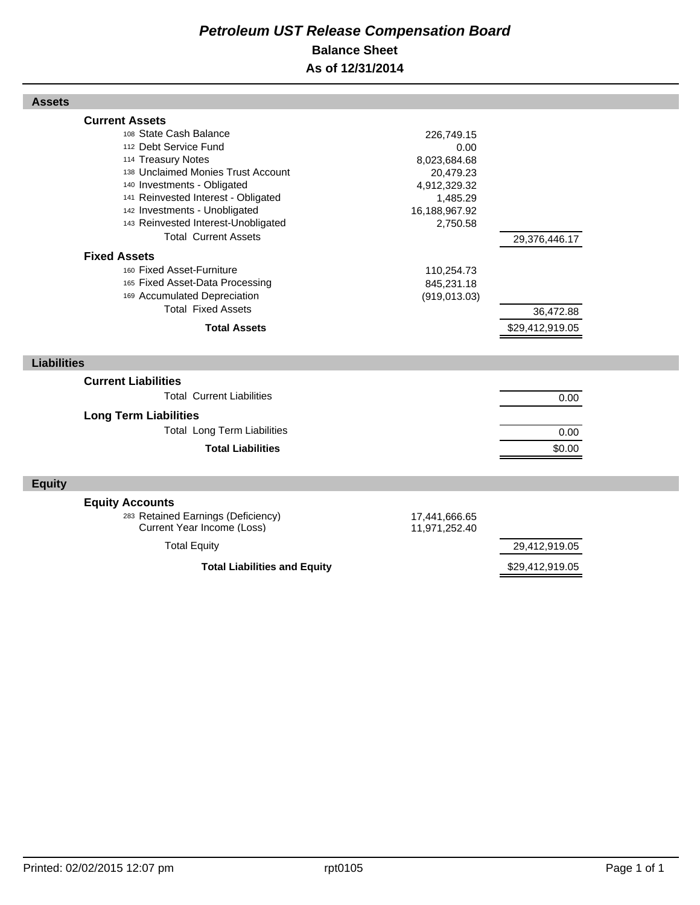## *Petroleum UST Release Compensation Board*  **Balance Sheet As of 12/31/2014**

| <b>Assets</b>                                                                                                                                                                                                                                                                                                                                                                                                                                                                                |                                                                                                                                                       |                                               |  |
|----------------------------------------------------------------------------------------------------------------------------------------------------------------------------------------------------------------------------------------------------------------------------------------------------------------------------------------------------------------------------------------------------------------------------------------------------------------------------------------------|-------------------------------------------------------------------------------------------------------------------------------------------------------|-----------------------------------------------|--|
| <b>Current Assets</b><br>108 State Cash Balance<br>112 Debt Service Fund<br>114 Treasury Notes<br>138 Unclaimed Monies Trust Account<br>140 Investments - Obligated<br>141 Reinvested Interest - Obligated<br>142 Investments - Unobligated<br>143 Reinvested Interest-Unobligated<br><b>Total Current Assets</b><br><b>Fixed Assets</b><br>160 Fixed Asset-Furniture<br>165 Fixed Asset-Data Processing<br>169 Accumulated Depreciation<br><b>Total Fixed Assets</b><br><b>Total Assets</b> | 226,749.15<br>0.00<br>8,023,684.68<br>20,479.23<br>4,912,329.32<br>1,485.29<br>16,188,967.92<br>2,750.58<br>110,254.73<br>845,231.18<br>(919, 013.03) | 29,376,446.17<br>36,472.88<br>\$29,412,919.05 |  |
| <b>Liabilities</b>                                                                                                                                                                                                                                                                                                                                                                                                                                                                           |                                                                                                                                                       |                                               |  |
| <b>Current Liabilities</b>                                                                                                                                                                                                                                                                                                                                                                                                                                                                   |                                                                                                                                                       |                                               |  |
| <b>Total Current Liabilities</b>                                                                                                                                                                                                                                                                                                                                                                                                                                                             |                                                                                                                                                       | 0.00                                          |  |
| <b>Long Term Liabilities</b><br><b>Total Long Term Liabilities</b><br><b>Total Liabilities</b>                                                                                                                                                                                                                                                                                                                                                                                               |                                                                                                                                                       | 0.00<br>\$0.00                                |  |
| <b>Equity</b>                                                                                                                                                                                                                                                                                                                                                                                                                                                                                |                                                                                                                                                       |                                               |  |
| <b>Equity Accounts</b><br>283 Retained Earnings (Deficiency)<br>Current Year Income (Loss)<br><b>Total Equity</b>                                                                                                                                                                                                                                                                                                                                                                            | 17,441,666.65<br>11,971,252.40                                                                                                                        | 29,412,919.05                                 |  |
| <b>Total Liabilities and Equity</b>                                                                                                                                                                                                                                                                                                                                                                                                                                                          |                                                                                                                                                       | \$29,412,919.05                               |  |

Г

Г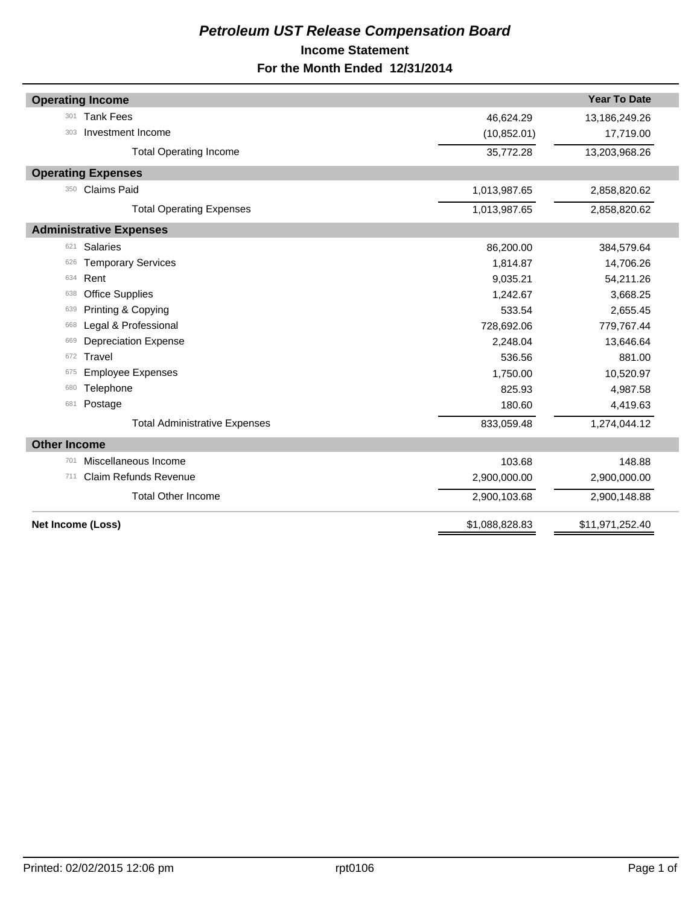## *Petroleum UST Release Compensation Board*  **Income Statement For the Month Ended 12/31/2014**

| <b>Operating Income</b>              |                | <b>Year To Date</b> |
|--------------------------------------|----------------|---------------------|
| <b>Tank Fees</b><br>301              | 46,624.29      | 13,186,249.26       |
| Investment Income<br>303             | (10, 852.01)   | 17,719.00           |
| <b>Total Operating Income</b>        | 35,772.28      | 13,203,968.26       |
| <b>Operating Expenses</b>            |                |                     |
| <b>Claims Paid</b><br>350            | 1,013,987.65   | 2,858,820.62        |
| <b>Total Operating Expenses</b>      | 1,013,987.65   | 2,858,820.62        |
| <b>Administrative Expenses</b>       |                |                     |
| <b>Salaries</b><br>621               | 86,200.00      | 384,579.64          |
| <b>Temporary Services</b><br>626     | 1,814.87       | 14,706.26           |
| Rent<br>634                          | 9,035.21       | 54,211.26           |
| <b>Office Supplies</b><br>638        | 1,242.67       | 3,668.25            |
| Printing & Copying<br>639            | 533.54         | 2,655.45            |
| Legal & Professional<br>668          | 728,692.06     | 779,767.44          |
| Depreciation Expense<br>669          | 2,248.04       | 13,646.64           |
| Travel<br>672                        | 536.56         | 881.00              |
| <b>Employee Expenses</b><br>675      | 1,750.00       | 10,520.97           |
| Telephone<br>680                     | 825.93         | 4,987.58            |
| Postage<br>681                       | 180.60         | 4,419.63            |
| <b>Total Administrative Expenses</b> | 833,059.48     | 1,274,044.12        |
| <b>Other Income</b>                  |                |                     |
| Miscellaneous Income<br>701          | 103.68         | 148.88              |
| <b>Claim Refunds Revenue</b><br>711  | 2,900,000.00   | 2,900,000.00        |
| <b>Total Other Income</b>            | 2,900,103.68   | 2,900,148.88        |
| Net Income (Loss)                    | \$1,088,828.83 | \$11,971,252.40     |
|                                      |                |                     |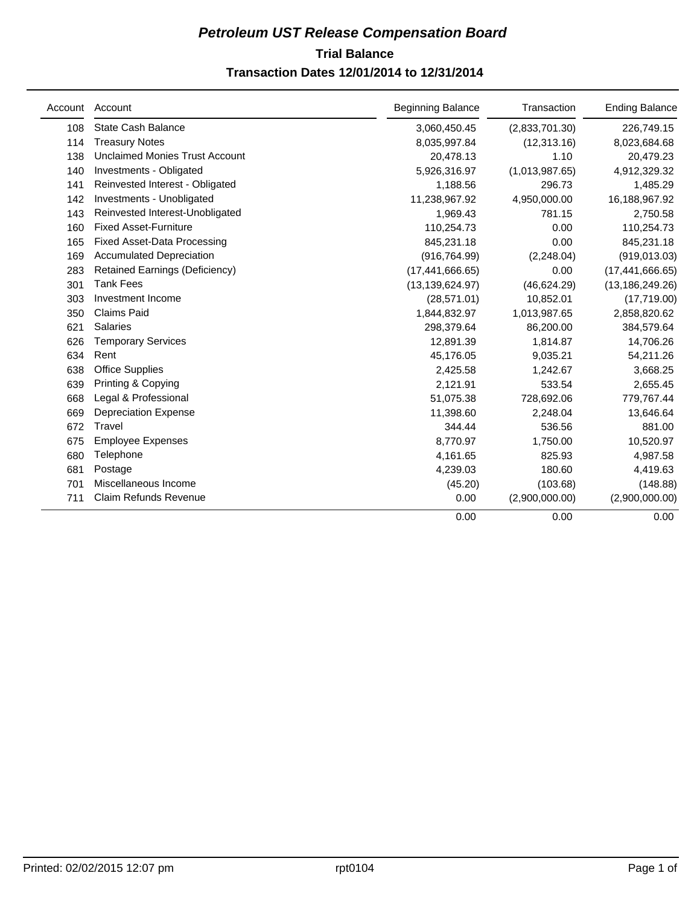## **Trial Balance** *Petroleum UST Release Compensation Board*  **Transaction Dates 12/01/2014 to 12/31/2014**

| Account | Account                               | <b>Beginning Balance</b> | Transaction    | <b>Ending Balance</b> |
|---------|---------------------------------------|--------------------------|----------------|-----------------------|
| 108     | <b>State Cash Balance</b>             | 3,060,450.45             | (2,833,701.30) | 226,749.15            |
| 114     | <b>Treasury Notes</b>                 | 8,035,997.84             | (12, 313.16)   | 8,023,684.68          |
| 138     | <b>Unclaimed Monies Trust Account</b> | 20,478.13                | 1.10           | 20,479.23             |
| 140     | Investments - Obligated               | 5,926,316.97             | (1,013,987.65) | 4,912,329.32          |
| 141     | Reinvested Interest - Obligated       | 1,188.56                 | 296.73         | 1,485.29              |
| 142     | Investments - Unobligated             | 11,238,967.92            | 4,950,000.00   | 16,188,967.92         |
| 143     | Reinvested Interest-Unobligated       | 1,969.43                 | 781.15         | 2,750.58              |
| 160     | <b>Fixed Asset-Furniture</b>          | 110,254.73               | 0.00           | 110,254.73            |
| 165     | <b>Fixed Asset-Data Processing</b>    | 845,231.18               | 0.00           | 845,231.18            |
| 169     | <b>Accumulated Depreciation</b>       | (916, 764.99)            | (2, 248.04)    | (919, 013.03)         |
| 283     | Retained Earnings (Deficiency)        | (17, 441, 666.65)        | 0.00           | (17, 441, 666.65)     |
| 301     | <b>Tank Fees</b>                      | (13, 139, 624.97)        | (46, 624.29)   | (13, 186, 249.26)     |
| 303     | Investment Income                     | (28, 571.01)             | 10,852.01      | (17,719.00)           |
| 350     | <b>Claims Paid</b>                    | 1,844,832.97             | 1,013,987.65   | 2,858,820.62          |
| 621     | <b>Salaries</b>                       | 298,379.64               | 86,200.00      | 384,579.64            |
| 626     | <b>Temporary Services</b>             | 12.891.39                | 1.814.87       | 14,706.26             |
| 634     | Rent                                  | 45,176.05                | 9,035.21       | 54,211.26             |
| 638     | <b>Office Supplies</b>                | 2,425.58                 | 1,242.67       | 3,668.25              |
| 639     | Printing & Copying                    | 2,121.91                 | 533.54         | 2,655.45              |
| 668     | Legal & Professional                  | 51,075.38                | 728,692.06     | 779,767.44            |
| 669     | <b>Depreciation Expense</b>           | 11,398.60                | 2,248.04       | 13,646.64             |
| 672     | Travel                                | 344.44                   | 536.56         | 881.00                |
| 675     | <b>Employee Expenses</b>              | 8,770.97                 | 1,750.00       | 10,520.97             |
| 680     | Telephone                             | 4,161.65                 | 825.93         | 4,987.58              |
| 681     | Postage                               | 4,239.03                 | 180.60         | 4,419.63              |
| 701     | Miscellaneous Income                  | (45.20)                  | (103.68)       | (148.88)              |
| 711     | Claim Refunds Revenue                 | 0.00                     | (2,900,000.00) | (2,900,000.00)        |
|         |                                       | 0.00                     | 0.00           | 0.00                  |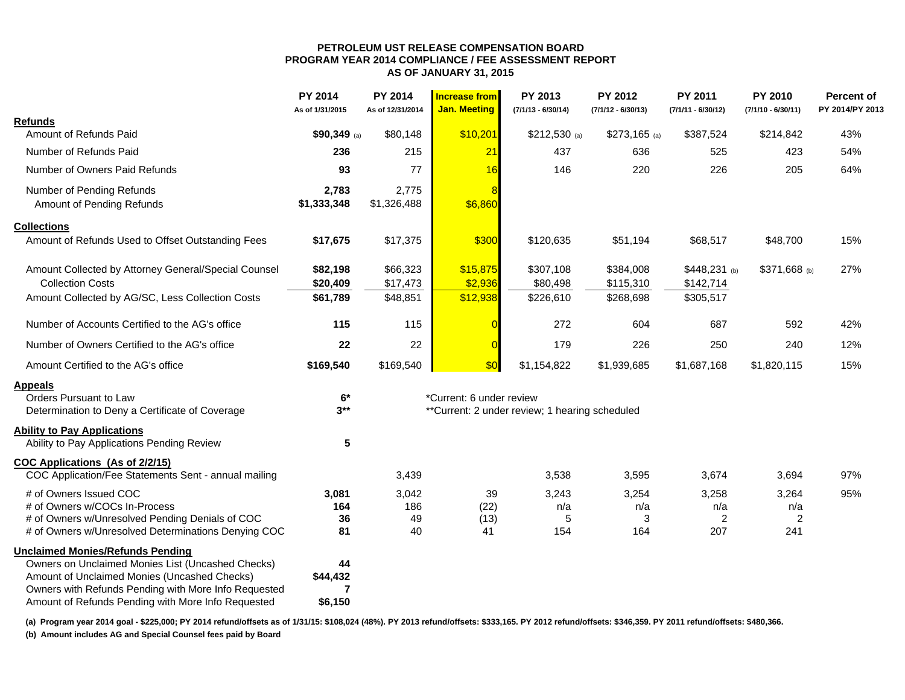#### **PETROLEUM UST RELEASE COMPENSATION BOARD PROGRAM YEAR 2014 COMPLIANCE / FEE ASSESSMENT REPORT AS OF JANUARY 31, 2015**

|                                                      | <b>PY 2014</b><br>As of 1/31/2015 | <b>PY 2014</b><br>As of 12/31/2014 | <b>Increase from</b><br><b>Jan. Meeting</b> | PY 2013<br>$(7/1/13 - 6/30/14)$                | PY 2012<br>$(7/1/12 - 6/30/13)$ | <b>PY 2011</b><br>$(7/1/11 - 6/30/12)$ | <b>PY 2010</b><br>$(7/1/10 - 6/30/11)$ | <b>Percent of</b><br>PY 2014/PY 2013 |
|------------------------------------------------------|-----------------------------------|------------------------------------|---------------------------------------------|------------------------------------------------|---------------------------------|----------------------------------------|----------------------------------------|--------------------------------------|
| <b>Refunds</b>                                       |                                   |                                    |                                             |                                                |                                 |                                        |                                        |                                      |
| Amount of Refunds Paid                               | \$90,349 (a)                      | \$80,148                           | \$10,201                                    | $$212,530$ (a)                                 | $$273,165$ (a)                  | \$387,524                              | \$214,842                              | 43%                                  |
| Number of Refunds Paid                               | 236                               | 215                                | 21                                          | 437                                            | 636                             | 525                                    | 423                                    | 54%                                  |
| Number of Owners Paid Refunds                        | 93                                | 77                                 | 16                                          | 146                                            | 220                             | 226                                    | 205                                    | 64%                                  |
| Number of Pending Refunds                            | 2,783                             | 2,775                              | <b>R</b>                                    |                                                |                                 |                                        |                                        |                                      |
| Amount of Pending Refunds                            | \$1,333,348                       | \$1,326,488                        | \$6,860                                     |                                                |                                 |                                        |                                        |                                      |
| <b>Collections</b>                                   |                                   |                                    |                                             |                                                |                                 |                                        |                                        |                                      |
| Amount of Refunds Used to Offset Outstanding Fees    | \$17,675                          | \$17,375                           | \$300                                       | \$120,635                                      | \$51,194                        | \$68,517                               | \$48,700                               | 15%                                  |
| Amount Collected by Attorney General/Special Counsel | \$82,198                          | \$66,323                           | \$15,875                                    | \$307,108                                      | \$384,008                       | $$448,231$ (b)                         | \$371,668 (b)                          | 27%                                  |
| <b>Collection Costs</b>                              | \$20,409                          | \$17,473                           | \$2,936                                     | \$80,498                                       | \$115,310                       | \$142,714                              |                                        |                                      |
| Amount Collected by AG/SC, Less Collection Costs     | \$61,789                          | \$48,851                           | \$12,938                                    | \$226,610                                      | \$268,698                       | \$305,517                              |                                        |                                      |
| Number of Accounts Certified to the AG's office      | 115                               | 115                                |                                             | 272                                            | 604                             | 687                                    | 592                                    | 42%                                  |
| Number of Owners Certified to the AG's office        | 22                                | 22                                 |                                             | 179                                            | 226                             | 250                                    | 240                                    | 12%                                  |
| Amount Certified to the AG's office                  | \$169,540                         | \$169,540                          | \$0                                         | \$1,154,822                                    | \$1,939,685                     | \$1,687,168                            | \$1,820,115                            | 15%                                  |
| <b>Appeals</b>                                       |                                   |                                    |                                             |                                                |                                 |                                        |                                        |                                      |
| Orders Pursuant to Law                               | $6*$                              |                                    | *Current: 6 under review                    |                                                |                                 |                                        |                                        |                                      |
| Determination to Deny a Certificate of Coverage      | $3**$                             |                                    |                                             | **Current: 2 under review; 1 hearing scheduled |                                 |                                        |                                        |                                      |
| <b>Ability to Pay Applications</b>                   |                                   |                                    |                                             |                                                |                                 |                                        |                                        |                                      |
| Ability to Pay Applications Pending Review           | 5                                 |                                    |                                             |                                                |                                 |                                        |                                        |                                      |
| COC Applications (As of 2/2/15)                      |                                   |                                    |                                             |                                                |                                 |                                        |                                        |                                      |
| COC Application/Fee Statements Sent - annual mailing |                                   | 3,439                              |                                             | 3,538                                          | 3,595                           | 3,674                                  | 3,694                                  | 97%                                  |
| # of Owners Issued COC                               | 3,081                             | 3,042                              | 39                                          | 3,243                                          | 3,254                           | 3,258                                  | 3,264                                  | 95%                                  |
| # of Owners w/COCs In-Process                        | 164                               | 186                                | (22)                                        | n/a                                            | n/a                             | n/a                                    | n/a                                    |                                      |
| # of Owners w/Unresolved Pending Denials of COC      | 36                                | 49                                 | (13)                                        | 5                                              | 3                               | 2                                      | $\overline{c}$                         |                                      |
| # of Owners w/Unresolved Determinations Denying COC  | 81                                | 40                                 | 41                                          | 154                                            | 164                             | 207                                    | 241                                    |                                      |
| <b>Unclaimed Monies/Refunds Pending</b>              |                                   |                                    |                                             |                                                |                                 |                                        |                                        |                                      |
| Owners on Unclaimed Monies List (Uncashed Checks)    | 44                                |                                    |                                             |                                                |                                 |                                        |                                        |                                      |
| Amount of Unclaimed Monies (Uncashed Checks)         | \$44,432                          |                                    |                                             |                                                |                                 |                                        |                                        |                                      |
| Owners with Refunds Pending with More Info Requested | 7                                 |                                    |                                             |                                                |                                 |                                        |                                        |                                      |
| Amount of Refunds Pending with More Info Requested   | \$6,150                           |                                    |                                             |                                                |                                 |                                        |                                        |                                      |

**(a) Program year 2014 goal - \$225,000; PY 2014 refund/offsets as of 1/31/15: \$108,024 (48%). PY 2013 refund/offsets: \$333,165. PY 2012 refund/offsets: \$346,359. PY 2011 refund/offsets: \$480,366.** 

**(b) Amount includes AG and Special Counsel fees paid by Board**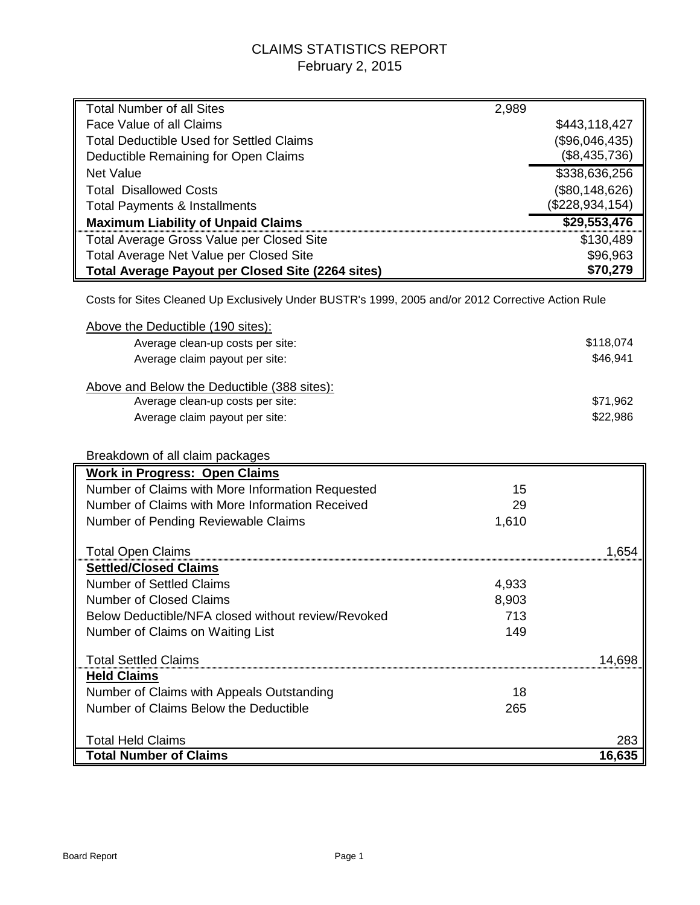## CLAIMS STATISTICS REPORT February 2, 2015

| <b>Total Number of all Sites</b>                                                                   | 2,989 |                      |
|----------------------------------------------------------------------------------------------------|-------|----------------------|
| Face Value of all Claims                                                                           |       | \$443,118,427        |
| <b>Total Deductible Used for Settled Claims</b>                                                    |       | (\$96,046,435)       |
| Deductible Remaining for Open Claims                                                               |       | (\$8,435,736)        |
| <b>Net Value</b>                                                                                   |       | \$338,636,256        |
| <b>Total Disallowed Costs</b>                                                                      |       | (\$80,148,626)       |
| <b>Total Payments &amp; Installments</b>                                                           |       | (\$228,934,154)      |
| <b>Maximum Liability of Unpaid Claims</b>                                                          |       | \$29,553,476         |
| Total Average Gross Value per Closed Site                                                          |       | \$130,489            |
| Total Average Net Value per Closed Site                                                            |       | \$96,963             |
| Total Average Payout per Closed Site (2264 sites)                                                  |       | \$70,279             |
| Costs for Sites Cleaned Up Exclusively Under BUSTR's 1999, 2005 and/or 2012 Corrective Action Rule |       |                      |
| Above the Deductible (190 sites):                                                                  |       |                      |
| Average clean-up costs per site:                                                                   |       | \$118,074            |
| Average claim payout per site:                                                                     |       | \$46,941             |
|                                                                                                    |       |                      |
| Above and Below the Deductible (388 sites):                                                        |       |                      |
| Average clean-up costs per site:                                                                   |       | \$71,962<br>\$22,986 |
| Average claim payout per site:                                                                     |       |                      |
|                                                                                                    |       |                      |
| Breakdown of all claim packages                                                                    |       |                      |
| <b>Work in Progress: Open Claims</b>                                                               |       |                      |
| Number of Claims with More Information Requested                                                   | 15    |                      |
| Number of Claims with More Information Received                                                    | 29    |                      |
| Number of Pending Reviewable Claims                                                                | 1,610 |                      |
| <b>Total Open Claims</b>                                                                           |       | 1,654                |
| <b>Settled/Closed Claims</b>                                                                       |       |                      |
| <b>Number of Settled Claims</b>                                                                    | 4,933 |                      |
| <b>Number of Closed Claims</b>                                                                     | 8,903 |                      |
| Below Deductible/NFA closed without review/Revoked                                                 | 713   |                      |
| Number of Claims on Waiting List                                                                   | 149   |                      |
|                                                                                                    |       |                      |
| <b>Total Settled Claims</b>                                                                        |       | 14,698               |
| <b>Held Claims</b>                                                                                 |       |                      |
| Number of Claims with Appeals Outstanding                                                          | 18    |                      |
| Number of Claims Below the Deductible                                                              | 265   |                      |
|                                                                                                    |       |                      |
| <b>Total Held Claims</b>                                                                           |       | 283                  |
| <b>Total Number of Claims</b>                                                                      |       | 16,635               |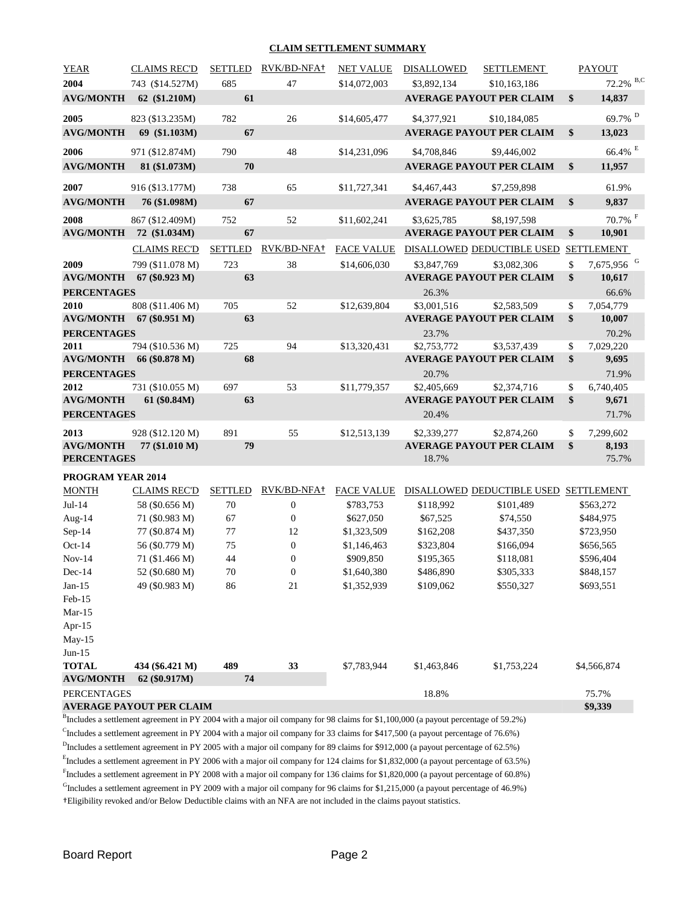#### **CLAIM SETTLEMENT SUMMARY**

| <b>YEAR</b>        | <b>CLAIMS REC'D</b>             | <b>SETTLED</b> | RVK/BD-NFA+      | <b>NET VALUE</b>  | <b>DISALLOWED</b> | SETTLEMENT                            |               | <b>PAYOUT</b>          |
|--------------------|---------------------------------|----------------|------------------|-------------------|-------------------|---------------------------------------|---------------|------------------------|
| 2004               | 743 (\$14.527M)                 | 685            | 47               | \$14,072,003      | \$3,892,134       | \$10,163,186                          |               | 72.2% B,C              |
|                    | AVG/MONTH 62 (\$1.210M)         | 61             |                  |                   |                   | <b>AVERAGE PAYOUT PER CLAIM</b>       | $\mathbf{\$}$ | 14,837                 |
| 2005               | 823 (\$13.235M)                 | 782            | 26               | \$14,605,477      | \$4,377,921       | \$10,184,085                          |               | $69.7\%$ $^{\rm D}$    |
| <b>AVG/MONTH</b>   | 69 (\$1.103M)                   | 67             |                  |                   |                   | <b>AVERAGE PAYOUT PER CLAIM</b>       | \$            | 13,023                 |
| 2006               | 971 (\$12.874M)                 | 790            | 48               | \$14,231,096      | \$4,708,846       | \$9,446,002                           |               | 66.4% E                |
| <b>AVG/MONTH</b>   | 81 (\$1.073M)                   | 70             |                  |                   |                   | <b>AVERAGE PAYOUT PER CLAIM</b>       | \$            | 11,957                 |
| 2007               | 916 (\$13.177M)                 | 738            | 65               | \$11,727,341      | \$4,467,443       | \$7,259,898                           |               | 61.9%                  |
| <b>AVG/MONTH</b>   | 76 (\$1.098M)                   | 67             |                  |                   |                   | <b>AVERAGE PAYOUT PER CLAIM</b>       | $\mathbf{\$}$ | 9,837                  |
| 2008               | 867 (\$12.409M)                 | 752            | 52               | \$11,602,241      | \$3,625,785       | \$8,197,598                           |               | $70.7\%$ <sup>F</sup>  |
| <b>AVG/MONTH</b>   | 72 (\$1.034M)                   | 67             |                  |                   |                   | <b>AVERAGE PAYOUT PER CLAIM</b>       | \$            | 10,901                 |
|                    | <b>CLAIMS REC'D</b>             | <b>SETTLED</b> | RVK/BD-NFA+      | <b>FACE VALUE</b> |                   | DISALLOWED DEDUCTIBLE USED            |               | <b>SETTLEMENT</b>      |
| 2009               | 799 (\$11.078 M)                | 723            | 38               | \$14,606,030      | \$3,847,769       | \$3,082,306                           | \$            | 7,675,956 <sup>G</sup> |
|                    | AVG/MONTH 67 (\$0.923 M)        | 63             |                  |                   |                   | <b>AVERAGE PAYOUT PER CLAIM</b>       | \$            | 10,617                 |
| <b>PERCENTAGES</b> |                                 |                |                  |                   | 26.3%             |                                       |               | 66.6%                  |
| 2010               | 808 (\$11.406 M)                | 705            | 52               | \$12,639,804      | \$3,001,516       | \$2,583,509                           | \$            | 7,054,779              |
|                    | AVG/MONTH 67 (\$0.951 M)        | 63             |                  |                   |                   | <b>AVERAGE PAYOUT PER CLAIM</b>       | \$            | 10,007                 |
| <b>PERCENTAGES</b> |                                 |                |                  |                   | 23.7%             |                                       |               | 70.2%                  |
| 2011               | 794 (\$10.536 M)                | 725            | 94               | \$13,320,431      | \$2,753,772       | \$3,537,439                           | \$            | 7,029,220              |
| <b>AVG/MONTH</b>   | 66 (\$0.878 M)                  | 68             |                  |                   |                   | <b>AVERAGE PAYOUT PER CLAIM</b>       | $\mathbf{\$}$ | 9,695                  |
| <b>PERCENTAGES</b> |                                 |                |                  |                   | 20.7%             |                                       |               | 71.9%                  |
| 2012               | 731 (\$10.055 M)                | 697            | 53               | \$11,779,357      | \$2,405,669       | \$2,374,716                           | \$            | 6,740,405              |
| <b>AVG/MONTH</b>   | 61 (\$0.84M)                    | 63             |                  |                   |                   | <b>AVERAGE PAYOUT PER CLAIM</b>       | $\mathbf{s}$  | 9,671                  |
| <b>PERCENTAGES</b> |                                 |                |                  |                   | 20.4%             |                                       |               | 71.7%                  |
| 2013               | 928 (\$12.120 M)                | 891            | 55               | \$12,513,139      | \$2,339,277       | \$2,874,260                           | \$            | 7,299,602              |
| <b>AVG/MONTH</b>   | 77 (\$1.010 M)                  | 79             |                  |                   |                   | <b>AVERAGE PAYOUT PER CLAIM</b>       | \$            | 8,193                  |
| <b>PERCENTAGES</b> |                                 |                |                  |                   | 18.7%             |                                       |               | 75.7%                  |
| PROGRAM YEAR 2014  |                                 |                |                  |                   |                   |                                       |               |                        |
| <b>MONTH</b>       | <b>CLAIMS REC'D</b>             | <b>SETTLED</b> | RVK/BD-NFA+      | <b>FACE VALUE</b> |                   | DISALLOWED DEDUCTIBLE USED SETTLEMENT |               |                        |
| $Jul-14$           | 58 (\$0.656 M)                  | $70\,$         | $\boldsymbol{0}$ | \$783,753         | \$118,992         | \$101,489                             |               | \$563,272              |
| Aug-14             | 71 (\$0.983 M)                  | 67             | $\boldsymbol{0}$ | \$627,050         | \$67,525          | \$74,550                              |               | \$484,975              |
| Sep-14             | 77 (\$0.874 M)                  | 77             | 12               | \$1,323,509       | \$162,208         | \$437,350                             |               | \$723,950              |
| Oct-14             | 56 (\$0.779 M)                  | 75             | $\boldsymbol{0}$ | \$1,146,463       | \$323,804         | \$166,094                             |               | \$656,565              |
| $Nov-14$           | 71 (\$1.466 M)                  | 44             | $\boldsymbol{0}$ | \$909,850         | \$195,365         | \$118,081                             |               | \$596,404              |
| Dec-14             | 52 (\$0.680 M)                  | $70\,$         | $\boldsymbol{0}$ | \$1,640,380       | \$486,890         | \$305,333                             |               | \$848,157              |
| $Jan-15$           | 49 (\$0.983 M)                  | 86             | 21               | \$1,352,939       | \$109,062         | \$550,327                             |               | \$693,551              |
| Feb-15             |                                 |                |                  |                   |                   |                                       |               |                        |
| $Mar-15$           |                                 |                |                  |                   |                   |                                       |               |                        |
| Apr-15             |                                 |                |                  |                   |                   |                                       |               |                        |
| May-15<br>$Jun-15$ |                                 |                |                  |                   |                   |                                       |               |                        |
| <b>TOTAL</b>       | 434 (\$6.421 M)                 | 489            | 33               | \$7,783,944       | \$1,463,846       | \$1,753,224                           |               | \$4,566,874            |
| <b>AVG/MONTH</b>   | 62 (\$0.917M)                   | 74             |                  |                   |                   |                                       |               |                        |
| <b>PERCENTAGES</b> |                                 |                |                  |                   | 18.8%             |                                       |               | 75.7%                  |
|                    | <b>AVERAGE PAYOUT PER CLAIM</b> |                |                  |                   |                   |                                       |               | \$9,339                |

<sup>B</sup>Includes a settlement agreement in PY 2004 with a major oil company for 98 claims for \$1,100,000 (a payout percentage of 59.2%)

<sup>C</sup>Includes a settlement agreement in PY 2004 with a major oil company for 33 claims for \$417,500 (a payout percentage of 76.6%)

 $<sup>D</sup>$  Includes a settlement agreement in PY 2005 with a major oil company for 89 claims for \$912,000 (a payout percentage of 62.5%)</sup>

Efficult and a settlement agreement in PY 2006 with a major oil company for 124 claims for \$1,832,000 (a payout percentage of 63.5%)

<sup>F</sup>Includes a settlement agreement in PY 2008 with a major oil company for 136 claims for \$1,820,000 (a payout percentage of 60.8%)

 $<sup>G</sup>$ Includes a settlement agreement in PY 2009 with a major oil company for 96 claims for \$1,215,000 (a payout percentage of 46.9%)</sup>

†Eligibility revoked and/or Below Deductible claims with an NFA are not included in the claims payout statistics.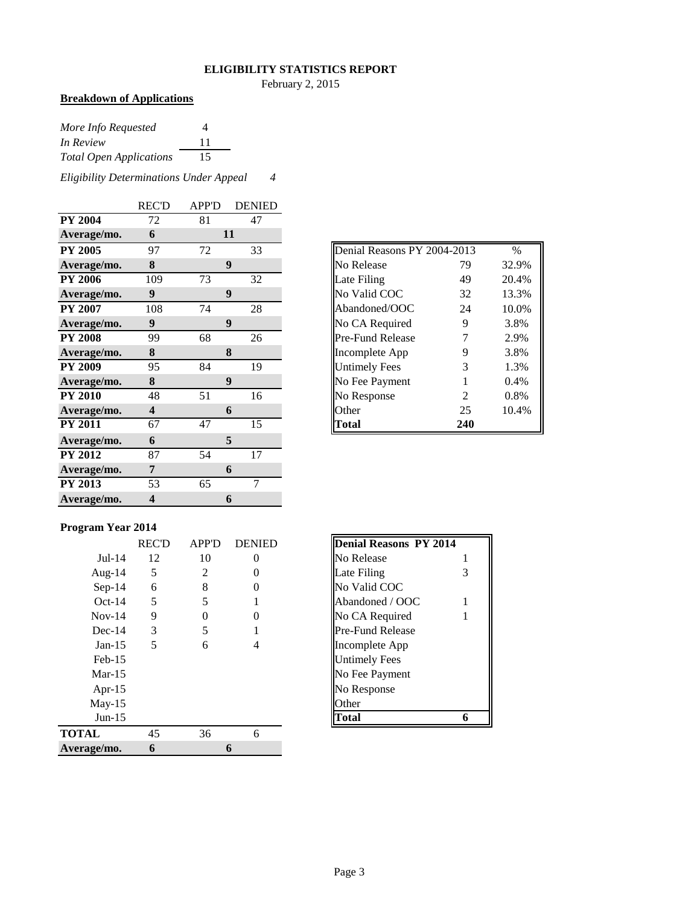#### **ELIGIBILITY STATISTICS REPORT**

February 2, 2015

## **Breakdown of Applications**

| More Info Requested            | 4  |
|--------------------------------|----|
| In Review                      | 11 |
| <b>Total Open Applications</b> | 15 |

*Eligibility Determinations Under Appeal 4*

|                | <b>REC'D</b>            | <b>APP'D</b> | <b>DENIED</b>   |
|----------------|-------------------------|--------------|-----------------|
| <b>PY 2004</b> | 72                      | 81           | 47              |
| Average/mo.    | 6                       |              | 11              |
| <b>PY 2005</b> | 97                      | 72           | 33              |
| Average/mo.    | 8                       |              | 9               |
| <b>PY 2006</b> | 109                     | 73           | 32              |
| Average/mo.    | 9                       |              | 9               |
| <b>PY 2007</b> | 108                     | 74           | 28              |
| Average/mo.    | $\boldsymbol{9}$        |              | 9               |
| <b>PY 2008</b> | 99                      | 68           | 26              |
| Average/mo.    | 8                       |              | 8               |
| <b>PY 2009</b> | 95                      | 84           | 19              |
| Average/mo.    | 8                       |              | 9               |
| <b>PY 2010</b> | 48                      | 51           | 16              |
| Average/mo.    | $\overline{\mathbf{4}}$ |              | 6               |
| <b>PY 2011</b> | 67                      | 47           | $\overline{15}$ |
| Average/mo.    | 6                       |              | 5               |
| <b>PY 2012</b> | 87                      | 54           | 17              |
| Average/mo.    | 7                       |              | 6               |
| <b>PY 2013</b> | 53                      | 65           | 7               |
| Average/mo.    | 4                       |              | 6               |

| Denial Reasons PY 2004-2013 |     | $\%$  |
|-----------------------------|-----|-------|
| No Release                  | 79  | 32.9% |
| Late Filing                 | 49  | 20.4% |
| No Valid COC                | 32  | 13.3% |
| Abandoned/OOC               | 24  | 10.0% |
| No CA Required              | 9   | 3.8%  |
| <b>Pre-Fund Release</b>     | 7   | 2.9%  |
| Incomplete App              | 9   | 3.8%  |
| <b>Untimely Fees</b>        | 3   | 1.3%  |
| No Fee Payment              | 1   | 0.4%  |
| No Response                 | 2   | 0.8%  |
| Other                       | 25  | 10.4% |
| l`otal                      | 240 |       |

## **Program Year 2014**

|              | <b>REC'D</b> | <b>APP'D</b> | <b>DENIED</b> | Denial Reasons PY 2014  |
|--------------|--------------|--------------|---------------|-------------------------|
| $Jul-14$     | 12           | 10           | 0             | No Release              |
| Aug- $14$    | 5            | 2            |               | Late Filing<br>3        |
| $Sep-14$     | 6            | 8            | 0             | No Valid COC            |
| $Oct-14$     | 5            | 5            |               | Abandoned / OOC         |
| $Nov-14$     | 9            | 0            |               | No CA Required          |
| $Dec-14$     | 3            | 5            |               | <b>Pre-Fund Release</b> |
| $Jan-15$     | 5            | 6            |               | Incomplete App          |
| $Feb-15$     |              |              |               | <b>Untimely Fees</b>    |
| $Mar-15$     |              |              |               | No Fee Payment          |
| Apr- $15$    |              |              |               | No Response             |
| $May-15$     |              |              |               | Other                   |
| $Jun-15$     |              |              |               | <b>Total</b>            |
| <b>TOTAL</b> | 45           | 36           | 6             |                         |
| Average/mo.  | 6            |              | 6             |                         |
|              |              |              |               |                         |

| <b>Denial Reasons PY 2014</b> |   |
|-------------------------------|---|
| No Release                    |   |
| Late Filing                   | 3 |
| No Valid COC                  |   |
| Abandoned / OOC               |   |
| No CA Required                |   |
| Pre-Fund Release              |   |
| Incomplete App                |   |
| Untimely Fees                 |   |
| No Fee Payment                |   |
| No Response                   |   |
| <b>Other</b>                  |   |
| 'otal                         |   |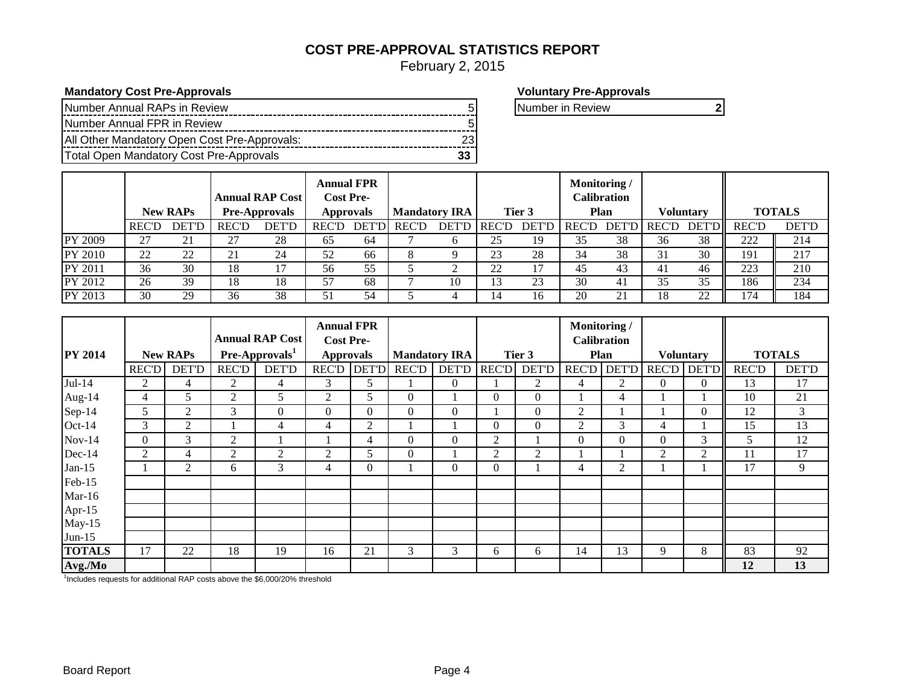## **COST PRE-APPROVAL STATISTICS REPORT**

February 2, 2015

**Mandatory Cost Pre-Approvals Mandatory Cost Pre-Approvals Voluntary Pre-Approvals** 

| Number Annual RAPs in Review                 |  |
|----------------------------------------------|--|
| Number Annual FPR in Review                  |  |
| All Other Mandatory Open Cost Pre-Approvals: |  |
| Total Open Mandatory Cost Pre-Approvals      |  |

**Number in Review 5 2 2 Number in Review 6 2 Number in Review 6 Number 2 Number 2 Number 2 2 Number 2 2 Number 2 10 Number 2 10 Number 2 10 Number 2 10 Number 2 10 Number 2 10 Number 2 10 Number 2 10 Number 2 10 Number 2 1** 

|         | <b>New RAPs</b> |              | <b>Annual RAP Cost</b><br><b>Pre-Approvals</b> |              | <b>Annual FPR</b><br><b>Cost Pre-</b><br><b>Approvals</b> |               | <b>Mandatory IRA</b> |              | Tier 3        |              | Monitoring/<br><b>Calibration</b><br>Plan |    | <b>Voluntary</b> |                | <b>TOTALS</b> |              |
|---------|-----------------|--------------|------------------------------------------------|--------------|-----------------------------------------------------------|---------------|----------------------|--------------|---------------|--------------|-------------------------------------------|----|------------------|----------------|---------------|--------------|
|         | <b>REC'D</b>    | <b>DET'D</b> | <b>REC'D</b>                                   | <b>DET'D</b> | <b>REC'D</b>                                              | <b>DET'DI</b> | <b>REC'D</b>         | <b>DET'D</b> | <b>IREC'D</b> | <b>DET'D</b> | REC'D                                     |    | DET'D REC'D      | <b>DET'DIL</b> | REC'D         | <b>DET'D</b> |
| PY 2009 | 27              | 21           | רר                                             | 28           | 65                                                        | 64            |                      | <sub>0</sub> | 25            | 19           | 35                                        | 38 | 36               | 38             | 222           | 214          |
| PY 2010 | 22              | 22           | $\bigcap$ 1                                    | 24           | 52                                                        | 66            |                      |              | 23            | 28           | 34                                        | 38 | 31               | 30             | 191           | 217          |
| PY 2011 | 36              | 30           | 18                                             | 17           | 56                                                        | 55            |                      | ∠            | 22            | 17           | -45                                       | 43 | 41               | 46             | 223           | 210          |
| PY 2012 | 26              | 39           | 18                                             | 18           | 57                                                        | 68            |                      | 10           | 13            | 23           | 30                                        | 41 | 35               | 35             | 186           | 234          |
| PY 2013 | 30              | 29           | 36                                             | 38           | 51                                                        | 54            |                      |              | 14            | 16           | 20                                        | 21 | 18               | 22             | 174           | 184          |

|                |              |                 |              | <b>Annual RAP Cost</b> | <b>Annual FPR</b>                    |                |                |                      |                |                | Monitoring/        |              |                |                  |              |               |
|----------------|--------------|-----------------|--------------|------------------------|--------------------------------------|----------------|----------------|----------------------|----------------|----------------|--------------------|--------------|----------------|------------------|--------------|---------------|
| <b>PY 2014</b> |              | <b>New RAPs</b> |              | $Pre-Approvals1$       | <b>Cost Pre-</b><br><b>Approvals</b> |                |                | <b>Mandatory IRA</b> |                | Tier 3         | <b>Calibration</b> | Plan         |                | <b>Voluntary</b> |              | <b>TOTALS</b> |
|                |              | <b>DET'D</b>    |              |                        | <b>REC'D</b>                         | <b>DET'D</b>   | <b>REC'D</b>   |                      |                | <b>DET'D</b>   |                    | <b>DET'D</b> |                | REC'D DET'D      |              |               |
|                | <b>REC'D</b> |                 | <b>REC'D</b> | <b>DET'D</b>           |                                      |                |                | <b>DET'D</b>         | <b>REC'D</b>   |                | <b>REC'D</b>       |              |                |                  | <b>REC'D</b> | <b>DET'D</b>  |
| $Jul-14$       | 2            | 4               | 2            | 4                      | 3                                    | 5              |                | $\overline{0}$       |                | $\overline{c}$ | 4                  | 2            | $\overline{0}$ | $\overline{0}$   | 13           | 17            |
| Aug- $14$      | 4            | 5               | 2            | 5                      | 2                                    | 5              | 0              |                      | $\overline{0}$ | $\theta$       |                    | 4            |                |                  | 10           | 21            |
| Sep-14         | 5            | 2               | 3            | $\Omega$               | $\overline{0}$                       | 0              | $\overline{0}$ | $\overline{0}$       |                | $\theta$       | 2                  |              |                | $\Omega$         | 12           | 3             |
| Oct-14         | 3            | 2               |              | 4                      | 4                                    | $\overline{2}$ |                |                      | $\overline{0}$ | $\theta$       | 2                  | 3            | 4              |                  | 15           | 13            |
| $Nov-14$       | $\Omega$     | 3               | 2            |                        |                                      | 4              | $\overline{0}$ | $\overline{0}$       | 2              |                | $\Omega$           | $\Omega$     | $\Omega$       | 3                | 5            | 12            |
| Dec-14         | 2            | 4               | 2            | 2                      | 2                                    | 5              | $\overline{0}$ |                      | 2              | 2              |                    |              | 2              | 2                | 11           | 17            |
| Jan- $15$      |              | $\overline{2}$  | 6            | 3                      | 4                                    | 0              |                | $\overline{0}$       | $\mathbf{0}$   |                | 4                  | 2            |                |                  | 17           | 9             |
| Feb-15         |              |                 |              |                        |                                      |                |                |                      |                |                |                    |              |                |                  |              |               |
| $Mar-16$       |              |                 |              |                        |                                      |                |                |                      |                |                |                    |              |                |                  |              |               |
| Apr-15         |              |                 |              |                        |                                      |                |                |                      |                |                |                    |              |                |                  |              |               |
| $May-15$       |              |                 |              |                        |                                      |                |                |                      |                |                |                    |              |                |                  |              |               |
| $Jun-15$       |              |                 |              |                        |                                      |                |                |                      |                |                |                    |              |                |                  |              |               |
| <b>TOTALS</b>  | 17           | 22              | 18           | 19                     | 16                                   | 21             | 3              | 3                    | 6              | 6              | 14                 | 13           | 9              | 8                | 83           | 92            |
| Avg./Mo        |              |                 |              |                        |                                      |                |                |                      |                |                |                    |              |                |                  | 12           | 13            |

<sup>1</sup>Includes requests for additional RAP costs above the \$6,000/20% threshold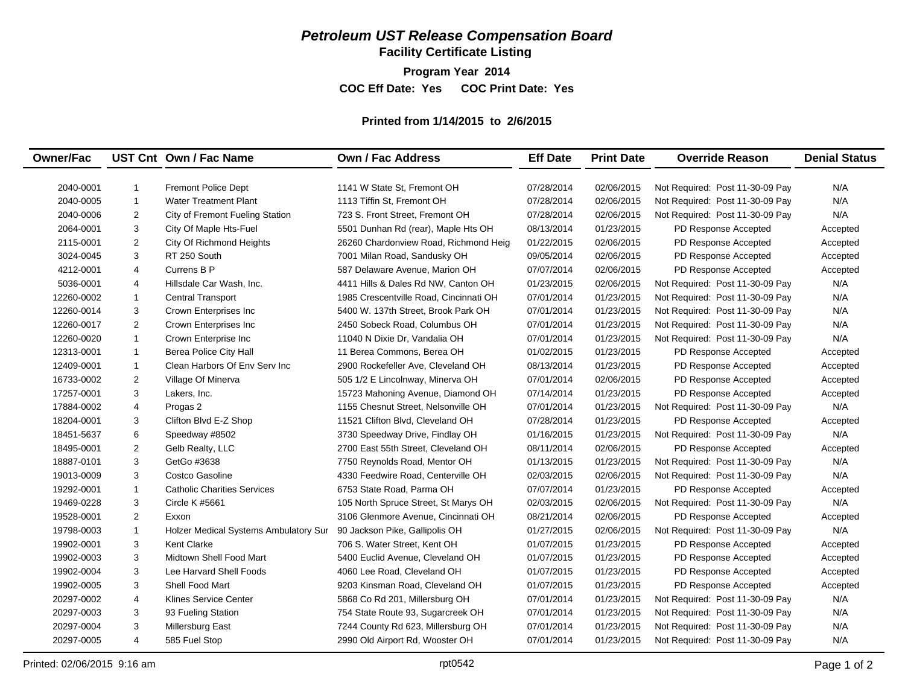## *Petroleum UST Release Compensation Board*

**Facility Certificate Listing**

**Program Year 2014 COC Eff Date: Yes COC Print Date: Yes** 

## **Printed from 1/14/2015 to 2/6/2015**

| <b>Owner/Fac</b> |                | UST Cnt Own / Fac Name                | <b>Own / Fac Address</b>               | <b>Eff Date</b> | <b>Print Date</b> | <b>Override Reason</b>          | <b>Denial Status</b> |
|------------------|----------------|---------------------------------------|----------------------------------------|-----------------|-------------------|---------------------------------|----------------------|
| 2040-0001        | $\mathbf{1}$   | <b>Fremont Police Dept</b>            | 1141 W State St, Fremont OH            | 07/28/2014      | 02/06/2015        | Not Required: Post 11-30-09 Pay | N/A                  |
| 2040-0005        | $\mathbf{1}$   | <b>Water Treatment Plant</b>          | 1113 Tiffin St, Fremont OH             | 07/28/2014      | 02/06/2015        | Not Required: Post 11-30-09 Pay | N/A                  |
| 2040-0006        | 2              | City of Fremont Fueling Station       | 723 S. Front Street. Fremont OH        | 07/28/2014      | 02/06/2015        | Not Required: Post 11-30-09 Pay | N/A                  |
| 2064-0001        | 3              | City Of Maple Hts-Fuel                | 5501 Dunhan Rd (rear), Maple Hts OH    | 08/13/2014      | 01/23/2015        | PD Response Accepted            | Accepted             |
| 2115-0001        | $\mathbf{2}$   | City Of Richmond Heights              | 26260 Chardonview Road, Richmond Heig  | 01/22/2015      | 02/06/2015        | PD Response Accepted            | Accepted             |
| 3024-0045        | 3              | RT 250 South                          | 7001 Milan Road, Sandusky OH           | 09/05/2014      | 02/06/2015        | PD Response Accepted            | Accepted             |
| 4212-0001        | $\overline{4}$ | Currens B P                           | 587 Delaware Avenue. Marion OH         | 07/07/2014      | 02/06/2015        | PD Response Accepted            | Accepted             |
| 5036-0001        | 4              | Hillsdale Car Wash, Inc.              | 4411 Hills & Dales Rd NW, Canton OH    | 01/23/2015      | 02/06/2015        | Not Required: Post 11-30-09 Pay | N/A                  |
| 12260-0002       | $\mathbf{1}$   | Central Transport                     | 1985 Crescentville Road, Cincinnati OH | 07/01/2014      | 01/23/2015        | Not Required: Post 11-30-09 Pay | N/A                  |
| 12260-0014       | 3              | Crown Enterprises Inc                 | 5400 W. 137th Street, Brook Park OH    | 07/01/2014      | 01/23/2015        | Not Required: Post 11-30-09 Pay | N/A                  |
| 12260-0017       | 2              | Crown Enterprises Inc                 | 2450 Sobeck Road, Columbus OH          | 07/01/2014      | 01/23/2015        | Not Required: Post 11-30-09 Pay | N/A                  |
| 12260-0020       | $\mathbf{1}$   | Crown Enterprise Inc                  | 11040 N Dixie Dr, Vandalia OH          | 07/01/2014      | 01/23/2015        | Not Required: Post 11-30-09 Pay | N/A                  |
| 12313-0001       | $\mathbf{1}$   | <b>Berea Police City Hall</b>         | 11 Berea Commons, Berea OH             | 01/02/2015      | 01/23/2015        | PD Response Accepted            | Accepted             |
| 12409-0001       | $\mathbf{1}$   | Clean Harbors Of Env Serv Inc         | 2900 Rockefeller Ave, Cleveland OH     | 08/13/2014      | 01/23/2015        | PD Response Accepted            | Accepted             |
| 16733-0002       | $\overline{2}$ | Village Of Minerva                    | 505 1/2 E Lincolnway, Minerva OH       | 07/01/2014      | 02/06/2015        | PD Response Accepted            | Accepted             |
| 17257-0001       | 3              | Lakers, Inc.                          | 15723 Mahoning Avenue, Diamond OH      | 07/14/2014      | 01/23/2015        | PD Response Accepted            | Accepted             |
| 17884-0002       | 4              | Progas 2                              | 1155 Chesnut Street, Nelsonville OH    | 07/01/2014      | 01/23/2015        | Not Required: Post 11-30-09 Pay | N/A                  |
| 18204-0001       | 3              | Clifton Blvd E-Z Shop                 | 11521 Clifton Blvd, Cleveland OH       | 07/28/2014      | 01/23/2015        | PD Response Accepted            | Accepted             |
| 18451-5637       | 6              | Speedway #8502                        | 3730 Speedway Drive, Findlay OH        | 01/16/2015      | 01/23/2015        | Not Required: Post 11-30-09 Pay | N/A                  |
| 18495-0001       | $\overline{2}$ | Gelb Realty, LLC                      | 2700 East 55th Street. Cleveland OH    | 08/11/2014      | 02/06/2015        | PD Response Accepted            | Accepted             |
| 18887-0101       | 3              | GetGo #3638                           | 7750 Reynolds Road, Mentor OH          | 01/13/2015      | 01/23/2015        | Not Required: Post 11-30-09 Pay | N/A                  |
| 19013-0009       | 3              | Costco Gasoline                       | 4330 Feedwire Road, Centerville OH     | 02/03/2015      | 02/06/2015        | Not Required: Post 11-30-09 Pay | N/A                  |
| 19292-0001       | $\mathbf{1}$   | <b>Catholic Charities Services</b>    | 6753 State Road, Parma OH              | 07/07/2014      | 01/23/2015        | PD Response Accepted            | Accepted             |
| 19469-0228       | 3              | Circle K #5661                        | 105 North Spruce Street, St Marys OH   | 02/03/2015      | 02/06/2015        | Not Required: Post 11-30-09 Pay | N/A                  |
| 19528-0001       | $\overline{2}$ | Exxon                                 | 3106 Glenmore Avenue, Cincinnati OH    | 08/21/2014      | 02/06/2015        | PD Response Accepted            | Accepted             |
| 19798-0003       | $\mathbf{1}$   | Holzer Medical Systems Ambulatory Sur | 90 Jackson Pike, Gallipolis OH         | 01/27/2015      | 02/06/2015        | Not Required: Post 11-30-09 Pay | N/A                  |
| 19902-0001       | 3              | <b>Kent Clarke</b>                    | 706 S. Water Street, Kent OH           | 01/07/2015      | 01/23/2015        | PD Response Accepted            | Accepted             |
| 19902-0003       | 3              | Midtown Shell Food Mart               | 5400 Euclid Avenue, Cleveland OH       | 01/07/2015      | 01/23/2015        | PD Response Accepted            | Accepted             |
| 19902-0004       | 3              | Lee Harvard Shell Foods               | 4060 Lee Road, Cleveland OH            | 01/07/2015      | 01/23/2015        | PD Response Accepted            | Accepted             |
| 19902-0005       | 3              | Shell Food Mart                       | 9203 Kinsman Road, Cleveland OH        | 01/07/2015      | 01/23/2015        | PD Response Accepted            | Accepted             |
| 20297-0002       | $\overline{4}$ | <b>Klines Service Center</b>          | 5868 Co Rd 201, Millersburg OH         | 07/01/2014      | 01/23/2015        | Not Required: Post 11-30-09 Pay | N/A                  |
| 20297-0003       | 3              | 93 Fueling Station                    | 754 State Route 93, Sugarcreek OH      | 07/01/2014      | 01/23/2015        | Not Required: Post 11-30-09 Pay | N/A                  |
| 20297-0004       | 3              | Millersburg East                      | 7244 County Rd 623, Millersburg OH     | 07/01/2014      | 01/23/2015        | Not Required: Post 11-30-09 Pay | N/A                  |
| 20297-0005       | 4              | 585 Fuel Stop                         | 2990 Old Airport Rd, Wooster OH        | 07/01/2014      | 01/23/2015        | Not Required: Post 11-30-09 Pay | N/A                  |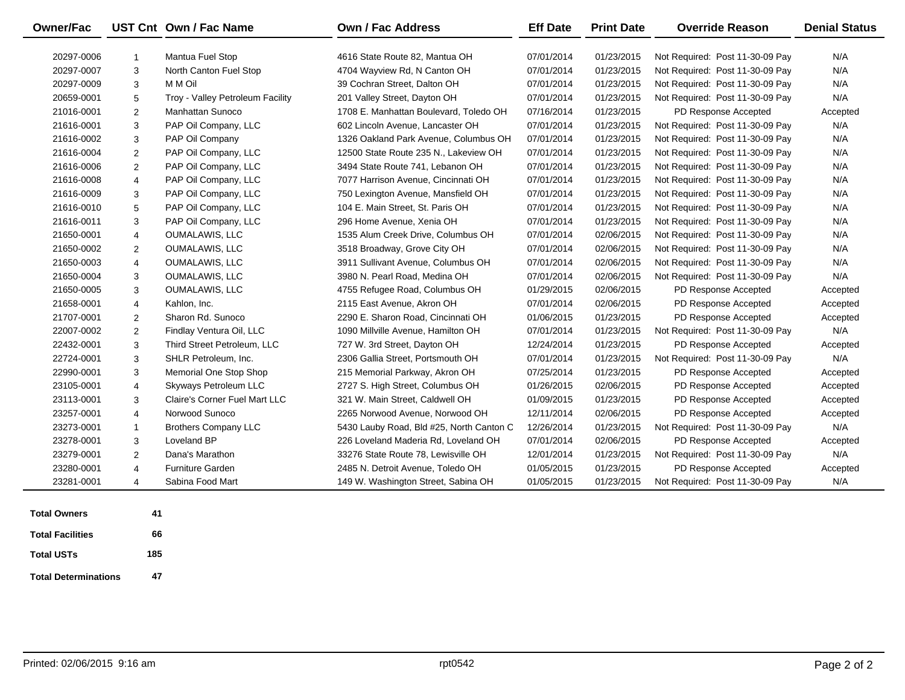| <b>Owner/Fac</b> |                | UST Cnt Own / Fac Name           | <b>Own / Fac Address</b>                 | <b>Eff Date</b> | <b>Print Date</b> | <b>Override Reason</b>          | <b>Denial Status</b> |
|------------------|----------------|----------------------------------|------------------------------------------|-----------------|-------------------|---------------------------------|----------------------|
| 20297-0006       | $\mathbf{1}$   | Mantua Fuel Stop                 | 4616 State Route 82, Mantua OH           | 07/01/2014      | 01/23/2015        | Not Required: Post 11-30-09 Pay | N/A                  |
| 20297-0007       | 3              | North Canton Fuel Stop           | 4704 Wayview Rd, N Canton OH             | 07/01/2014      | 01/23/2015        | Not Required: Post 11-30-09 Pay | N/A                  |
| 20297-0009       | 3              | M M Oil                          | 39 Cochran Street, Dalton OH             | 07/01/2014      | 01/23/2015        | Not Required: Post 11-30-09 Pay | N/A                  |
| 20659-0001       | 5              | Troy - Valley Petroleum Facility | 201 Valley Street, Dayton OH             | 07/01/2014      | 01/23/2015        | Not Required: Post 11-30-09 Pay | N/A                  |
| 21016-0001       | $\overline{2}$ | Manhattan Sunoco                 | 1708 E. Manhattan Boulevard, Toledo OH   | 07/16/2014      | 01/23/2015        | PD Response Accepted            | Accepted             |
| 21616-0001       | 3              | PAP Oil Company, LLC             | 602 Lincoln Avenue, Lancaster OH         | 07/01/2014      | 01/23/2015        | Not Required: Post 11-30-09 Pay | N/A                  |
| 21616-0002       | 3              | PAP Oil Company                  | 1326 Oakland Park Avenue, Columbus OH    | 07/01/2014      | 01/23/2015        | Not Required: Post 11-30-09 Pay | N/A                  |
| 21616-0004       | 2              | PAP Oil Company, LLC             | 12500 State Route 235 N., Lakeview OH    | 07/01/2014      | 01/23/2015        | Not Required: Post 11-30-09 Pay | N/A                  |
| 21616-0006       | 2              | PAP Oil Company, LLC             | 3494 State Route 741. Lebanon OH         | 07/01/2014      | 01/23/2015        | Not Required: Post 11-30-09 Pay | N/A                  |
| 21616-0008       | 4              | PAP Oil Company, LLC             | 7077 Harrison Avenue, Cincinnati OH      | 07/01/2014      | 01/23/2015        | Not Required: Post 11-30-09 Pay | N/A                  |
| 21616-0009       | 3              | PAP Oil Company, LLC             | 750 Lexington Avenue, Mansfield OH       | 07/01/2014      | 01/23/2015        | Not Required: Post 11-30-09 Pay | N/A                  |
| 21616-0010       | 5              | PAP Oil Company, LLC             | 104 E. Main Street, St. Paris OH         | 07/01/2014      | 01/23/2015        | Not Required: Post 11-30-09 Pay | N/A                  |
| 21616-0011       | 3              | PAP Oil Company, LLC             | 296 Home Avenue, Xenia OH                | 07/01/2014      | 01/23/2015        | Not Required: Post 11-30-09 Pay | N/A                  |
| 21650-0001       | 4              | <b>OUMALAWIS, LLC</b>            | 1535 Alum Creek Drive, Columbus OH       | 07/01/2014      | 02/06/2015        | Not Required: Post 11-30-09 Pay | N/A                  |
| 21650-0002       | $\overline{2}$ | <b>OUMALAWIS, LLC</b>            | 3518 Broadway, Grove City OH             | 07/01/2014      | 02/06/2015        | Not Required: Post 11-30-09 Pay | N/A                  |
| 21650-0003       | $\overline{4}$ | <b>OUMALAWIS, LLC</b>            | 3911 Sullivant Avenue, Columbus OH       | 07/01/2014      | 02/06/2015        | Not Required: Post 11-30-09 Pay | N/A                  |
| 21650-0004       | 3              | <b>OUMALAWIS, LLC</b>            | 3980 N. Pearl Road, Medina OH            | 07/01/2014      | 02/06/2015        | Not Required: Post 11-30-09 Pay | N/A                  |
| 21650-0005       | 3              | <b>OUMALAWIS, LLC</b>            | 4755 Refugee Road, Columbus OH           | 01/29/2015      | 02/06/2015        | PD Response Accepted            | Accepted             |
| 21658-0001       | 4              | Kahlon, Inc.                     | 2115 East Avenue, Akron OH               | 07/01/2014      | 02/06/2015        | PD Response Accepted            | Accepted             |
| 21707-0001       | 2              | Sharon Rd. Sunoco                | 2290 E. Sharon Road, Cincinnati OH       | 01/06/2015      | 01/23/2015        | PD Response Accepted            | Accepted             |
| 22007-0002       | $\overline{2}$ | Findlay Ventura Oil, LLC         | 1090 Millville Avenue, Hamilton OH       | 07/01/2014      | 01/23/2015        | Not Required: Post 11-30-09 Pay | N/A                  |
| 22432-0001       | 3              | Third Street Petroleum, LLC      | 727 W. 3rd Street, Dayton OH             | 12/24/2014      | 01/23/2015        | PD Response Accepted            | Accepted             |
| 22724-0001       | 3              | SHLR Petroleum, Inc.             | 2306 Gallia Street, Portsmouth OH        | 07/01/2014      | 01/23/2015        | Not Required: Post 11-30-09 Pay | N/A                  |
| 22990-0001       | 3              | Memorial One Stop Shop           | 215 Memorial Parkway, Akron OH           | 07/25/2014      | 01/23/2015        | PD Response Accepted            | Accepted             |
| 23105-0001       | 4              | Skyways Petroleum LLC            | 2727 S. High Street, Columbus OH         | 01/26/2015      | 02/06/2015        | PD Response Accepted            | Accepted             |
| 23113-0001       | 3              | Claire's Corner Fuel Mart LLC    | 321 W. Main Street, Caldwell OH          | 01/09/2015      | 01/23/2015        | PD Response Accepted            | Accepted             |
| 23257-0001       | 4              | Norwood Sunoco                   | 2265 Norwood Avenue, Norwood OH          | 12/11/2014      | 02/06/2015        | PD Response Accepted            | Accepted             |
| 23273-0001       | $\mathbf{1}$   | <b>Brothers Company LLC</b>      | 5430 Lauby Road, Bld #25, North Canton C | 12/26/2014      | 01/23/2015        | Not Required: Post 11-30-09 Pay | N/A                  |
| 23278-0001       | 3              | Loveland BP                      | 226 Loveland Maderia Rd, Loveland OH     | 07/01/2014      | 02/06/2015        | PD Response Accepted            | Accepted             |
| 23279-0001       | $\mathbf{2}$   | Dana's Marathon                  | 33276 State Route 78, Lewisville OH      | 12/01/2014      | 01/23/2015        | Not Required: Post 11-30-09 Pay | N/A                  |
| 23280-0001       | 4              | <b>Furniture Garden</b>          | 2485 N. Detroit Avenue, Toledo OH        | 01/05/2015      | 01/23/2015        | PD Response Accepted            | Accepted             |
| 23281-0001       | $\overline{4}$ | Sabina Food Mart                 | 149 W. Washington Street, Sabina OH      | 01/05/2015      | 01/23/2015        | Not Required: Post 11-30-09 Pay | N/A                  |

 $\overline{\phantom{a}}$